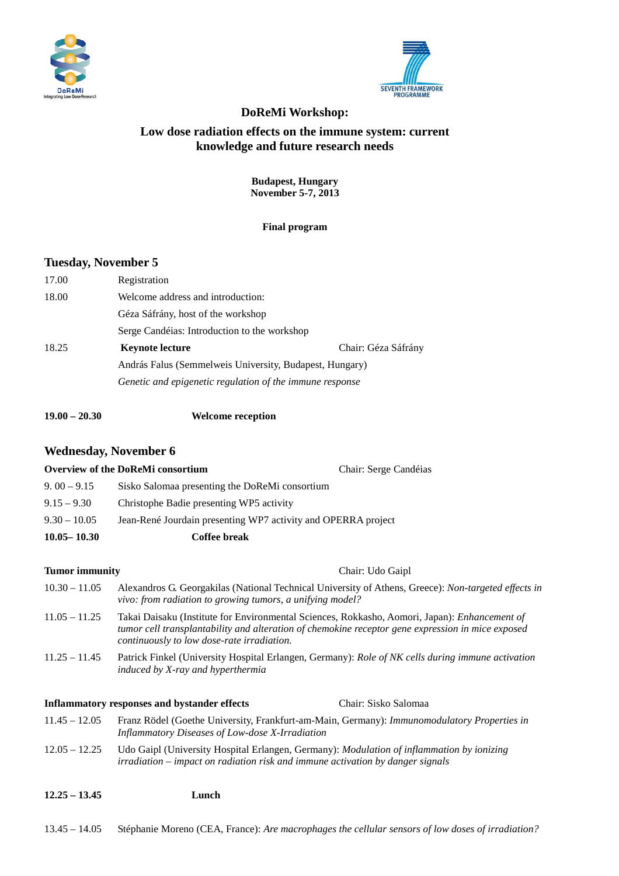



# **DoReMi Workshop: Low dose radiation effects on the immune system: current knowledge and future research needs**

**Budapest, Hungary November 5-7, 2013** 

**Final program** 

# **Tuesday, November 5**

| 17.00 | Registration                                             |                     |  |
|-------|----------------------------------------------------------|---------------------|--|
| 18.00 | Welcome address and introduction:                        |                     |  |
|       | Géza Sáfrány, host of the workshop                       |                     |  |
|       | Serge Candéias: Introduction to the workshop             |                     |  |
| 18.25 | <b>Keynote lecture</b>                                   | Chair: Géza Sáfrány |  |
|       | András Falus (Semmelweis University, Budapest, Hungary)  |                     |  |
|       | Genetic and epigenetic regulation of the immune response |                     |  |

**19.00 – 20.30 Welcome reception**

# **Wednesday, November 6**

|                       | <b>Overview of the DoReMi consortium</b>                                                                                                                                                                                                         | Chair: Serge Candéias |
|-----------------------|--------------------------------------------------------------------------------------------------------------------------------------------------------------------------------------------------------------------------------------------------|-----------------------|
| $9.00 - 9.15$         | Sisko Salomaa presenting the DoReMi consortium                                                                                                                                                                                                   |                       |
| $9.15 - 9.30$         | Christophe Badie presenting WP5 activity                                                                                                                                                                                                         |                       |
| $9.30 - 10.05$        | Jean-René Jourdain presenting WP7 activity and OPERRA project                                                                                                                                                                                    |                       |
| $10.05 - 10.30$       | <b>Coffee break</b>                                                                                                                                                                                                                              |                       |
| <b>Tumor</b> immunity |                                                                                                                                                                                                                                                  | Chair: Udo Gaipl      |
| $10.30 - 11.05$       | Alexandros G. Georgakilas (National Technical University of Athens, Greece): Non-targeted effects in<br>vivo: from radiation to growing tumors, a unifying model?                                                                                |                       |
| $11.05 - 11.25$       | Takai Daisaku (Institute for Environmental Sciences, Rokkasho, Aomori, Japan): Enhancement of<br>tumor cell transplantability and alteration of chemokine receptor gene expression in mice exposed<br>continuously to low dose-rate irradiation. |                       |
| $11.25 - 11.45$       | Patrick Finkel (University Hospital Erlangen, Germany): Role of NK cells during immune activation<br>induced by X-ray and hyperthermia                                                                                                           |                       |
|                       | <b>Inflammatory responses and bystander effects</b>                                                                                                                                                                                              | Chair: Sisko Salomaa  |
| $11.45 - 12.05$       | Franz Rödel (Goethe University, Frankfurt-am-Main, Germany): Immunomodulatory Properties in<br>Inflammatory Diseases of Low-dose X-Irradiation                                                                                                   |                       |
| $12.05 - 12.25$       | Udo Gaipl (University Hospital Erlangen, Germany): Modulation of inflammation by ionizing<br>irradiation – impact on radiation risk and immune activation by danger signals                                                                      |                       |
| $12.25 - 13.45$       | Lunch                                                                                                                                                                                                                                            |                       |

13.45 – 14.05 Stéphanie Moreno (CEA, France): *Are macrophages the cellular sensors of low doses of irradiation?*